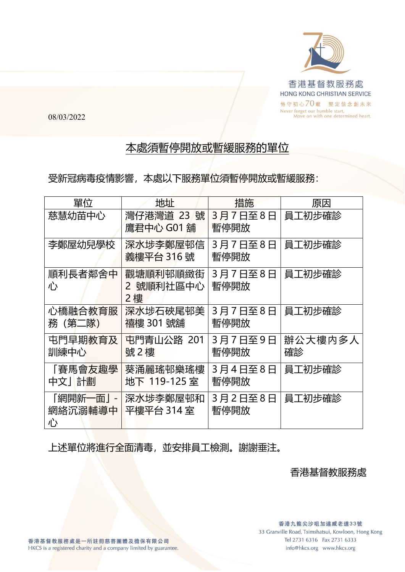

08/03/2022

## 本處須暫停開放或暫緩服務的單位

受新冠病毒疫情影響,本處以下服務單位須暫停開放或暫緩服務:

| 單位        | 地址                      | 措施      | 原因      |
|-----------|-------------------------|---------|---------|
| 慈慧幼苗中心    | 灣仔港灣道 23 號              | 3月7日至8日 | 員工初步確診  |
|           | 鷹君中心 G01 舖              | 暫停開放    |         |
| 李鄭屋幼兒學校   | 深水埗李鄭屋邨信                | 3月7日至8日 | 員工初步確診  |
|           | <b>義樓平台 316號</b>        | 暫停開放    |         |
| 順利長者鄰舍中   | 觀塘順利邨順緻街                | 3月7日至8日 | 員工初步確診  |
| 心         | 2 號順利社區中心               | 暫停開放    |         |
|           | 2 樓                     |         |         |
| 心橋融合教育服   | 深水埗石硤尾邨美                | 3月7日至8日 | 員工初步確診  |
| 務 (第二隊)   | 禧樓 301 號舖               | 暫停開放    |         |
| 屯門早期教育及   | <mark>屯門青山公路 201</mark> | 3月7日至9日 | 辦公大樓内多人 |
| 訓練中心      | 號2樓                     | 暫停開放    | 確診      |
| 「賽馬會友趣學   | 葵涌麗瑤邨樂瑤樓                | 3月4日至8日 | 員工初步確診  |
| 中文」計劃     | 地下 119-125 室            | 暫停開放    |         |
| 「網開新一面」 - | 深水埗李鄭屋邨和                | 3月2日至8日 | 員工初步確診  |
| 網絡沉溺輔導中   | 平樓平台 314 室              | 暫停開放    |         |
| 心         |                         |         |         |

上述單位將進行全面清毒,並安排員工檢測。謝謝垂注。

香港基督教服務處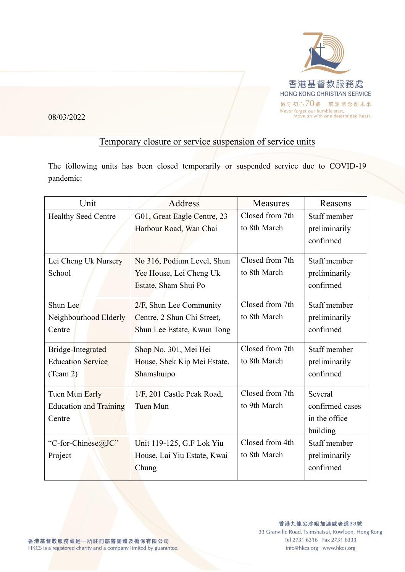

08/03/2022

## Temporary closure or service suspension of service units

The following units has been closed temporarily or suspended service due to COVID-19 pandemic:

| Unit                                                      | <b>Address</b>                                                                         | <b>Measures</b>                 | Reasons                                                 |
|-----------------------------------------------------------|----------------------------------------------------------------------------------------|---------------------------------|---------------------------------------------------------|
| <b>Healthy Seed Centre</b>                                | G01, Great Eagle Centre, 23<br>Harbour Road, Wan Chai                                  | Closed from 7th<br>to 8th March | Staff member<br>preliminarily<br>confirmed              |
| Lei Cheng Uk Nursery<br>School                            | No 316, Podium Level, Shun<br>Yee House, Lei Cheng Uk<br>Estate, Sham Shui Po          | Closed from 7th<br>to 8th March | Staff member<br>preliminarily<br>confirmed              |
| Shun Lee<br>Neighbourhood Elderly<br>Centre               | $2/F$ , Shun Lee Community<br>Centre, 2 Shun Chi Street,<br>Shun Lee Estate, Kwun Tong | Closed from 7th<br>to 8th March | Staff member<br>preliminarily<br>confirmed              |
| Bridge-Integrated<br><b>Education Service</b><br>(Tean 2) | Shop No. 301, Mei Hei<br>House, Shek Kip Mei Estate,<br>Shamshuipo                     | Closed from 7th<br>to 8th March | Staff member<br>preliminarily<br>confirmed              |
| Tuen Mun Early<br><b>Education and Training</b><br>Centre | 1/F, 201 Castle Peak Road,<br>Tuen Mun                                                 | Closed from 7th<br>to 9th March | Several<br>confirmed cases<br>in the office<br>building |
| "C-for-Chinese@JC"<br>Project                             | Unit 119-125, G.F Lok Yiu<br>House, Lai Yiu Estate, Kwai<br>Chung                      | Closed from 4th<br>to 8th March | Staff member<br>preliminarily<br>confirmed              |